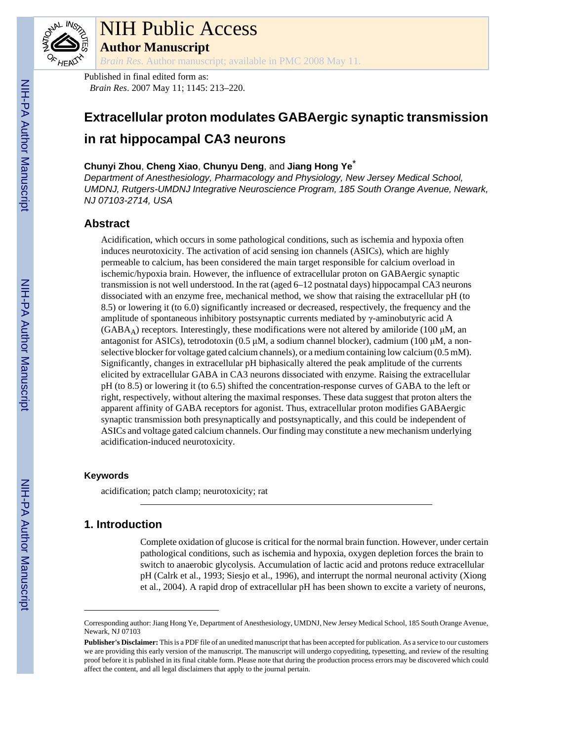

# NIH Public Access

**Author Manuscript**

*Brain Res*. Author manuscript; available in PMC 2008 May 11.

Published in final edited form as: *Brain Res*. 2007 May 11; 1145: 213–220.

## **Extracellular proton modulates GABAergic synaptic transmission in rat hippocampal CA3 neurons**

## **Chunyi Zhou**, **Cheng Xiao**, **Chunyu Deng**, and **Jiang Hong Ye**\*

*Department of Anesthesiology, Pharmacology and Physiology, New Jersey Medical School, UMDNJ, Rutgers-UMDNJ Integrative Neuroscience Program, 185 South Orange Avenue, Newark, NJ 07103-2714, USA*

## **Abstract**

Acidification, which occurs in some pathological conditions, such as ischemia and hypoxia often induces neurotoxicity. The activation of acid sensing ion channels (ASICs), which are highly permeable to calcium, has been considered the main target responsible for calcium overload in ischemic/hypoxia brain. However, the influence of extracellular proton on GABAergic synaptic transmission is not well understood. In the rat (aged 6–12 postnatal days) hippocampal CA3 neurons dissociated with an enzyme free, mechanical method, we show that raising the extracellular pH (to 8.5) or lowering it (to 6.0) significantly increased or decreased, respectively, the frequency and the amplitude of spontaneous inhibitory postsynaptic currents mediated by  $\gamma$ -aminobutyric acid A  $(GABA_A)$  receptors. Interestingly, these modifications were not altered by amiloride (100  $\mu$ M, an antagonist for ASICs), tetrodotoxin (0.5 μM, a sodium channel blocker), cadmium (100 μM, a nonselective blocker for voltage gated calcium channels), or a medium containing low calcium  $(0.5 \text{ mM})$ . Significantly, changes in extracellular pH biphasically altered the peak amplitude of the currents elicited by extracellular GABA in CA3 neurons dissociated with enzyme. Raising the extracellular pH (to 8.5) or lowering it (to 6.5) shifted the concentration-response curves of GABA to the left or right, respectively, without altering the maximal responses. These data suggest that proton alters the apparent affinity of GABA receptors for agonist. Thus, extracellular proton modifies GABAergic synaptic transmission both presynaptically and postsynaptically, and this could be independent of ASICs and voltage gated calcium channels. Our finding may constitute a new mechanism underlying acidification-induced neurotoxicity.

### **Keywords**

acidification; patch clamp; neurotoxicity; rat

## **1. Introduction**

Complete oxidation of glucose is critical for the normal brain function. However, under certain pathological conditions, such as ischemia and hypoxia, oxygen depletion forces the brain to switch to anaerobic glycolysis. Accumulation of lactic acid and protons reduce extracellular pH (Calrk et al., 1993; Siesjo et al., 1996), and interrupt the normal neuronal activity (Xiong et al., 2004). A rapid drop of extracellular pH has been shown to excite a variety of neurons,

Corresponding author: Jiang Hong Ye, Department of Anesthesiology, UMDNJ, New Jersey Medical School, 185 South Orange Avenue, Newark, NJ 07103

**Publisher's Disclaimer:** This is a PDF file of an unedited manuscript that has been accepted for publication. As a service to our customers we are providing this early version of the manuscript. The manuscript will undergo copyediting, typesetting, and review of the resulting proof before it is published in its final citable form. Please note that during the production process errors may be discovered which could affect the content, and all legal disclaimers that apply to the journal pertain.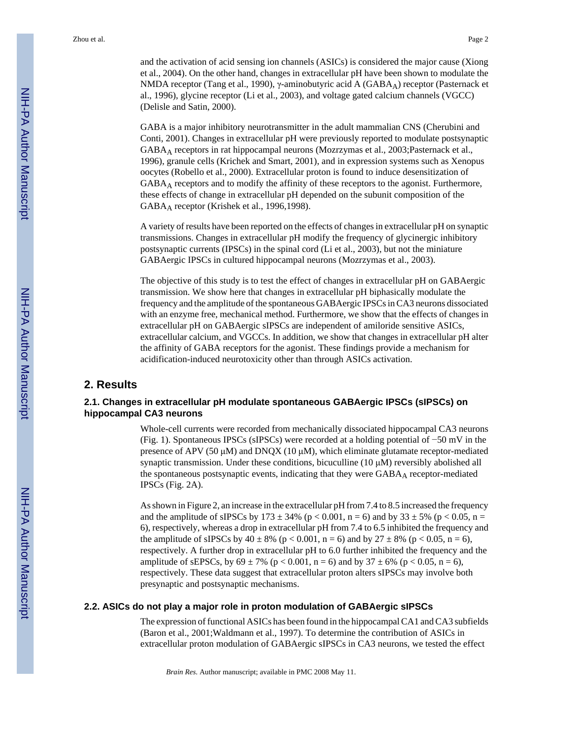and the activation of acid sensing ion channels (ASICs) is considered the major cause (Xiong et al., 2004). On the other hand, changes in extracellular pH have been shown to modulate the NMDA receptor (Tang et al., 1990), γ-aminobutyric acid A (GABAA) receptor (Pasternack et al., 1996), glycine receptor (Li et al., 2003), and voltage gated calcium channels (VGCC) (Delisle and Satin, 2000).

GABA is a major inhibitory neurotransmitter in the adult mammalian CNS (Cherubini and Conti, 2001). Changes in extracellular pH were previously reported to modulate postsynaptic GABAA receptors in rat hippocampal neurons (Mozrzymas et al., 2003;Pasternack et al., 1996), granule cells (Krichek and Smart, 2001), and in expression systems such as Xenopus oocytes (Robello et al., 2000). Extracellular proton is found to induce desensitization of GABAA receptors and to modify the affinity of these receptors to the agonist. Furthermore, these effects of change in extracellular pH depended on the subunit composition of the GABAA receptor (Krishek et al., 1996,1998).

A variety of results have been reported on the effects of changes in extracellular pH on synaptic transmissions. Changes in extracellular pH modify the frequency of glycinergic inhibitory postsynaptic currents (IPSCs) in the spinal cord (Li et al., 2003), but not the miniature GABAergic IPSCs in cultured hippocampal neurons (Mozrzymas et al., 2003).

The objective of this study is to test the effect of changes in extracellular pH on GABAergic transmission. We show here that changes in extracellular pH biphasically modulate the frequency and the amplitude of the spontaneous GABAergic IPSCs in CA3 neurons dissociated with an enzyme free, mechanical method. Furthermore, we show that the effects of changes in extracellular pH on GABAergic sIPSCs are independent of amiloride sensitive ASICs, extracellular calcium, and VGCCs. In addition, we show that changes in extracellular pH alter the affinity of GABA receptors for the agonist. These findings provide a mechanism for acidification-induced neurotoxicity other than through ASICs activation.

#### **2. Results**

#### **2.1. Changes in extracellular pH modulate spontaneous GABAergic IPSCs (sIPSCs) on hippocampal CA3 neurons**

Whole-cell currents were recorded from mechanically dissociated hippocampal CA3 neurons (Fig. 1). Spontaneous IPSCs (sIPSCs) were recorded at a holding potential of −50 mV in the presence of APV (50  $\mu$ M) and DNQX (10  $\mu$ M), which eliminate glutamate receptor-mediated synaptic transmission. Under these conditions, bicuculline (10 μM) reversibly abolished all the spontaneous postsynaptic events, indicating that they were GABAA receptor-mediated IPSCs (Fig. 2A).

As shown in Figure 2, an increase in the extracellular pH from 7.4 to 8.5 increased the frequency and the amplitude of sIPSCs by  $173 \pm 34\%$  (p < 0.001, n = 6) and by  $33 \pm 5\%$  (p < 0.05, n = 6), respectively, whereas a drop in extracellular pH from 7.4 to 6.5 inhibited the frequency and the amplitude of sIPSCs by  $40 \pm 8\%$  (p < 0.001, n = 6) and by  $27 \pm 8\%$  (p < 0.05, n = 6), respectively. A further drop in extracellular pH to 6.0 further inhibited the frequency and the amplitude of sEPSCs, by  $69 \pm 7\%$  (p < 0.001, n = 6) and by  $37 \pm 6\%$  (p < 0.05, n = 6), respectively. These data suggest that extracellular proton alters sIPSCs may involve both presynaptic and postsynaptic mechanisms.

#### **2.2. ASICs do not play a major role in proton modulation of GABAergic sIPSCs**

The expression of functional ASICs has been found in the hippocampal CA1 and CA3 subfields (Baron et al., 2001;Waldmann et al., 1997). To determine the contribution of ASICs in extracellular proton modulation of GABAergic sIPSCs in CA3 neurons, we tested the effect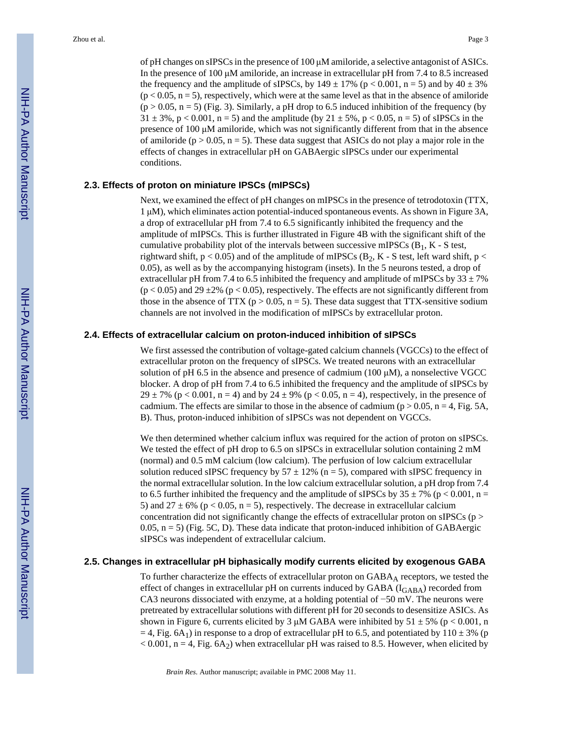of pH changes on sIPSCs in the presence of 100 μM amiloride, a selective antagonist of ASICs. In the presence of 100 μM amiloride, an increase in extracellular pH from 7.4 to 8.5 increased the frequency and the amplitude of sIPSCs, by  $149 \pm 17\%$  (p < 0.001, n = 5) and by  $40 \pm 3\%$  $(p < 0.05, n = 5)$ , respectively, which were at the same level as that in the absence of amiloride  $(p > 0.05, n = 5)$  (Fig. 3). Similarly, a pH drop to 6.5 induced inhibition of the frequency (by  $31 \pm 3\%$ , p < 0.001, n = 5) and the amplitude (by  $21 \pm 5\%$ , p < 0.05, n = 5) of sIPSCs in the presence of 100 μM amiloride, which was not significantly different from that in the absence of amiloride ( $p > 0.05$ ,  $n = 5$ ). These data suggest that ASICs do not play a major role in the effects of changes in extracellular pH on GABAergic sIPSCs under our experimental conditions.

#### **2.3. Effects of proton on miniature IPSCs (mIPSCs)**

Next, we examined the effect of pH changes on mIPSCs in the presence of tetrodotoxin (TTX, 1 μM), which eliminates action potential-induced spontaneous events. As shown in Figure 3A, a drop of extracellular pH from 7.4 to 6.5 significantly inhibited the frequency and the amplitude of mIPSCs. This is further illustrated in Figure 4B with the significant shift of the cumulative probability plot of the intervals between successive mIPSCs  $(B_1, K - S \text{ test},$ rightward shift,  $p < 0.05$ ) and of the amplitude of mIPSCs (B<sub>2</sub>, K - S test, left ward shift,  $p <$ 0.05), as well as by the accompanying histogram (insets). In the 5 neurons tested, a drop of extracellular pH from 7.4 to 6.5 inhibited the frequency and amplitude of mIPSCs by  $33 \pm 7\%$  $(p < 0.05)$  and 29 ±2% (p < 0.05), respectively. The effects are not significantly different from those in the absence of TTX ( $p > 0.05$ ,  $n = 5$ ). These data suggest that TTX-sensitive sodium channels are not involved in the modification of mIPSCs by extracellular proton.

#### **2.4. Effects of extracellular calcium on proton-induced inhibition of sIPSCs**

We first assessed the contribution of voltage-gated calcium channels (VGCCs) to the effect of extracellular proton on the frequency of sIPSCs. We treated neurons with an extracellular solution of pH 6.5 in the absence and presence of cadmium (100 μM), a nonselective VGCC blocker. A drop of pH from 7.4 to 6.5 inhibited the frequency and the amplitude of sIPSCs by 29  $\pm$  7% (p < 0.001, n = 4) and by 24  $\pm$  9% (p < 0.05, n = 4), respectively, in the presence of cadmium. The effects are similar to those in the absence of cadmium ( $p > 0.05$ ,  $n = 4$ , Fig. 5A, B). Thus, proton-induced inhibition of sIPSCs was not dependent on VGCCs.

We then determined whether calcium influx was required for the action of proton on sIPSCs. We tested the effect of pH drop to 6.5 on sIPSCs in extracellular solution containing 2 mM (normal) and 0.5 mM calcium (low calcium). The perfusion of low calcium extracellular solution reduced sIPSC frequency by  $57 \pm 12\%$  (n = 5), compared with sIPSC frequency in the normal extracellular solution. In the low calcium extracellular solution, a pH drop from 7.4 to 6.5 further inhibited the frequency and the amplitude of sIPSCs by  $35 \pm 7\%$  (p < 0.001, n = 5) and  $27 \pm 6\%$  (p < 0.05, n = 5), respectively. The decrease in extracellular calcium concentration did not significantly change the effects of extracellular proton on sIPSCs ( $p >$ 0.05,  $n = 5$ ) (Fig. 5C, D). These data indicate that proton-induced inhibition of GABAergic sIPSCs was independent of extracellular calcium.

#### **2.5. Changes in extracellular pH biphasically modify currents elicited by exogenous GABA**

To further characterize the effects of extracellular proton on  $GABA_A$  receptors, we tested the effect of changes in extracellular pH on currents induced by GABA  $(I<sub>GABA</sub>)$  recorded from CA3 neurons dissociated with enzyme, at a holding potential of −50 mV. The neurons were pretreated by extracellular solutions with different pH for 20 seconds to desensitize ASICs. As shown in Figure 6, currents elicited by 3  $\mu$ M GABA were inhibited by 51  $\pm$  5% (p < 0.001, n  $=$  4, Fig. 6A<sub>1</sub>) in response to a drop of extracellular pH to 6.5, and potentiated by 110  $\pm$  3% (p  $< 0.001$ , n = 4, Fig. 6A<sub>2</sub>) when extracellular pH was raised to 8.5. However, when elicited by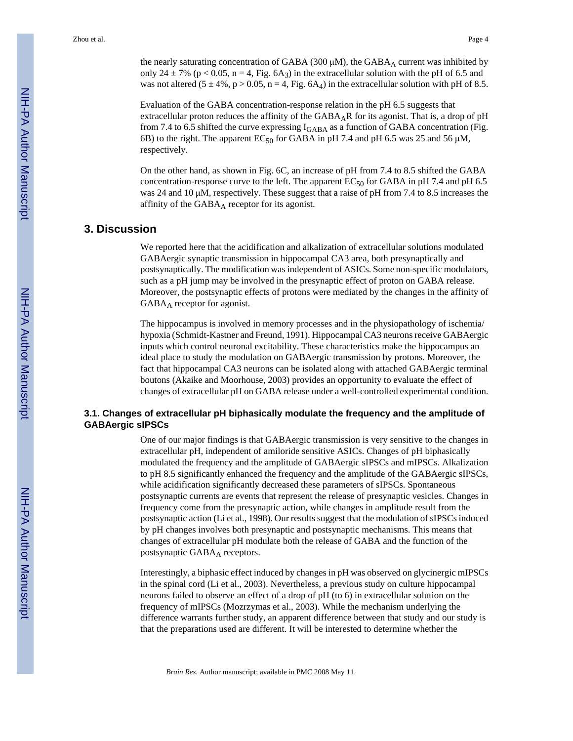the nearly saturating concentration of GABA (300 μM), the  $GABA_A$  current was inhibited by only 24  $\pm$  7% (p < 0.05, n = 4, Fig. 6A<sub>3</sub>) in the extracellular solution with the pH of 6.5 and was not altered  $(5 \pm 4\%, p > 0.05, n = 4, Fig. 6A<sub>4</sub>)$  in the extracellular solution with pH of 8.5.

Evaluation of the GABA concentration-response relation in the pH 6.5 suggests that extracellular proton reduces the affinity of the GABAAR for its agonist. That is, a drop of pH from 7.4 to 6.5 shifted the curve expressing  $I_{GABA}$  as a function of GABA concentration (Fig. 6B) to the right. The apparent  $EC_{50}$  for GABA in pH 7.4 and pH 6.5 was 25 and 56  $\mu$ M, respectively.

On the other hand, as shown in Fig. 6C, an increase of pH from 7.4 to 8.5 shifted the GABA concentration-response curve to the left. The apparent  $EC_{50}$  for GABA in pH 7.4 and pH 6.5 was 24 and 10 μM, respectively. These suggest that a raise of pH from 7.4 to 8.5 increases the affinity of the  $GABA_A$  receptor for its agonist.

## **3. Discussion**

We reported here that the acidification and alkalization of extracellular solutions modulated GABAergic synaptic transmission in hippocampal CA3 area, both presynaptically and postsynaptically. The modification was independent of ASICs. Some non-specific modulators, such as a pH jump may be involved in the presynaptic effect of proton on GABA release. Moreover, the postsynaptic effects of protons were mediated by the changes in the affinity of GABA<sub>A</sub> receptor for agonist.

The hippocampus is involved in memory processes and in the physiopathology of ischemia/ hypoxia (Schmidt-Kastner and Freund, 1991). Hippocampal CA3 neurons receive GABAergic inputs which control neuronal excitability. These characteristics make the hippocampus an ideal place to study the modulation on GABAergic transmission by protons. Moreover, the fact that hippocampal CA3 neurons can be isolated along with attached GABAergic terminal boutons (Akaike and Moorhouse, 2003) provides an opportunity to evaluate the effect of changes of extracellular pH on GABA release under a well-controlled experimental condition.

#### **3.1. Changes of extracellular pH biphasically modulate the frequency and the amplitude of GABAergic sIPSCs**

One of our major findings is that GABAergic transmission is very sensitive to the changes in extracellular pH, independent of amiloride sensitive ASICs. Changes of pH biphasically modulated the frequency and the amplitude of GABAergic sIPSCs and mIPSCs. Alkalization to pH 8.5 significantly enhanced the frequency and the amplitude of the GABAergic sIPSCs, while acidification significantly decreased these parameters of sIPSCs. Spontaneous postsynaptic currents are events that represent the release of presynaptic vesicles. Changes in frequency come from the presynaptic action, while changes in amplitude result from the postsynaptic action (Li et al., 1998). Our results suggest that the modulation of sIPSCs induced by pH changes involves both presynaptic and postsynaptic mechanisms. This means that changes of extracellular pH modulate both the release of GABA and the function of the postsynaptic GABA<sub>A</sub> receptors.

Interestingly, a biphasic effect induced by changes in pH was observed on glycinergic mIPSCs in the spinal cord (Li et al., 2003). Nevertheless, a previous study on culture hippocampal neurons failed to observe an effect of a drop of pH (to 6) in extracellular solution on the frequency of mIPSCs (Mozrzymas et al., 2003). While the mechanism underlying the difference warrants further study, an apparent difference between that study and our study is that the preparations used are different. It will be interested to determine whether the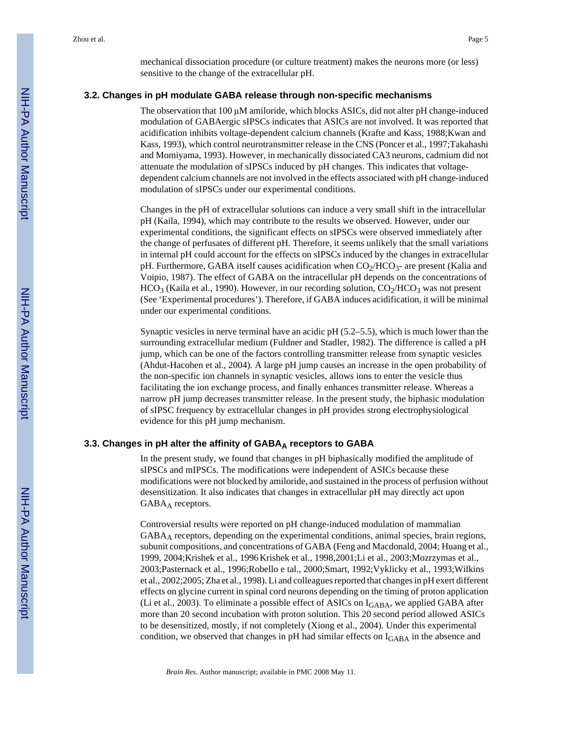mechanical dissociation procedure (or culture treatment) makes the neurons more (or less) sensitive to the change of the extracellular pH.

#### **3.2. Changes in pH modulate GABA release through non-specific mechanisms**

The observation that 100 μM amiloride, which blocks ASICs, did not alter pH change-induced modulation of GABAergic sIPSCs indicates that ASICs are not involved. It was reported that acidification inhibits voltage-dependent calcium channels (Krafte and Kass, 1988;Kwan and Kass, 1993), which control neurotransmitter release in the CNS (Poncer et al., 1997;Takahashi and Momiyama, 1993). However, in mechanically dissociated CA3 neurons, cadmium did not attenuate the modulation of sIPSCs induced by pH changes. This indicates that voltagedependent calcium channels are not involved in the effects associated with pH change-induced modulation of sIPSCs under our experimental conditions.

Changes in the pH of extracellular solutions can induce a very small shift in the intracellular pH (Kaila, 1994), which may contribute to the results we observed. However, under our experimental conditions, the significant effects on sIPSCs were observed immediately after the change of perfusates of different pH. Therefore, it seems unlikely that the small variations in internal pH could account for the effects on sIPSCs induced by the changes in extracellular pH. Furthermore, GABA itself causes acidification when  $CO<sub>2</sub>/HCO<sub>3</sub>$ - are present (Kalia and Voipio, 1987). The effect of GABA on the intracellular pH depends on the concentrations of  $HCO<sub>3</sub>$  (Kaila et al., 1990). However, in our recording solution,  $CO<sub>2</sub>/HCO<sub>3</sub>$  was not present (See 'Experimental procedures'). Therefore, if GABA induces acidification, it will be minimal under our experimental conditions.

Synaptic vesicles in nerve terminal have an acidic pH (5.2–5.5), which is much lower than the surrounding extracellular medium (Fuldner and Stadler, 1982). The difference is called a pH jump, which can be one of the factors controlling transmitter release from synaptic vesicles (Ahdut-Hacohen et al., 2004). A large pH jump causes an increase in the open probability of the non-specific ion channels in synaptic vesicles, allows ions to enter the vesicle thus facilitating the ion exchange process, and finally enhances transmitter release. Whereas a narrow pH jump decreases transmitter release. In the present study, the biphasic modulation of sIPSC frequency by extracellular changes in pH provides strong electrophysiological evidence for this pH jump mechanism.

#### **3.3. Changes in pH alter the affinity of GABAA receptors to GABA**

In the present study, we found that changes in pH biphasically modified the amplitude of sIPSCs and mIPSCs. The modifications were independent of ASICs because these modifications were not blocked by amiloride, and sustained in the process of perfusion without desensitization. It also indicates that changes in extracellular pH may directly act upon GABA<sub>A</sub> receptors.

Controversial results were reported on pH change-induced modulation of mammalian  $GABA_A$  receptors, depending on the experimental conditions, animal species, brain regions, subunit compositions, and concentrations of GABA (Feng and Macdonald, 2004; Huang et al., 1999, 2004;Krishek et al., 1996Krishek et al., 1998,2001;Li et al., 2003;Mozrzymas et al., 2003;Pasternack et al., 1996;Robello e tal., 2000;Smart, 1992;Vyklicky et al., 1993;Wilkins et al., 2002;2005; Zha et al., 1998). Li and colleagues reported that changes in pH exert different effects on glycine current in spinal cord neurons depending on the timing of proton application (Li et al., 2003). To eliminate a possible effect of ASICs on IGABA, we applied GABA after more than 20 second incubation with proton solution. This 20 second period allowed ASICs to be desensitized, mostly, if not completely (Xiong et al., 2004). Under this experimental condition, we observed that changes in pH had similar effects on IGABA in the absence and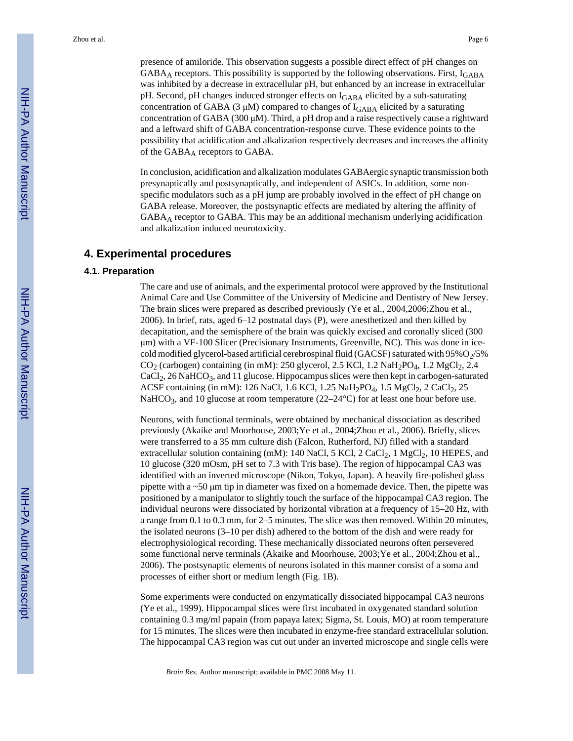presence of amiloride. This observation suggests a possible direct effect of pH changes on GABA<sub>A</sub> receptors. This possibility is supported by the following observations. First,  $I_{GABA}$ was inhibited by a decrease in extracellular pH, but enhanced by an increase in extracellular pH. Second, pH changes induced stronger effects on  $I_{\rm GABA}$  elicited by a sub-saturating concentration of GABA (3  $\mu$ M) compared to changes of I<sub>GABA</sub> elicited by a saturating concentration of GABA (300  $\mu$ M). Third, a pH drop and a raise respectively cause a rightward and a leftward shift of GABA concentration-response curve. These evidence points to the possibility that acidification and alkalization respectively decreases and increases the affinity of the GABA<sub>A</sub> receptors to GABA.

In conclusion, acidification and alkalization modulates GABAergic synaptic transmission both presynaptically and postsynaptically, and independent of ASICs. In addition, some nonspecific modulators such as a pH jump are probably involved in the effect of pH change on GABA release. Moreover, the postsynaptic effects are mediated by altering the affinity of GABAA receptor to GABA. This may be an additional mechanism underlying acidification and alkalization induced neurotoxicity.

#### **4. Experimental procedures**

#### **4.1. Preparation**

The care and use of animals, and the experimental protocol were approved by the Institutional Animal Care and Use Committee of the University of Medicine and Dentistry of New Jersey. The brain slices were prepared as described previously (Ye et al., 2004,2006;Zhou et al., 2006). In brief, rats, aged 6–12 postnatal days (P), were anesthetized and then killed by decapitation, and the semisphere of the brain was quickly excised and coronally sliced (300 μm) with a VF-100 Slicer (Precisionary Instruments, Greenville, NC). This was done in icecold modified glycerol-based artificial cerebrospinal fluid (GACSF) saturated with  $95\%O_{2}/5\%$  $CO<sub>2</sub>$  (carbogen) containing (in mM): 250 glycerol, 2.5 KCl, 1.2 NaH<sub>2</sub>PO<sub>4</sub>, 1.2 MgCl<sub>2</sub>, 2.4  $CaCl<sub>2</sub>$ , 26 NaHCO<sub>3</sub>, and 11 glucose. Hippocampus slices were then kept in carbogen-saturated ACSF containing (in mM): 126 NaCl, 1.6 KCl, 1.25 NaH<sub>2</sub>PO<sub>4</sub>, 1.5 MgCl<sub>2</sub>, 2 CaCl<sub>2</sub>, 25 NaHCO<sub>3</sub>, and 10 glucose at room temperature  $(22-24^{\circ}C)$  for at least one hour before use.

Neurons, with functional terminals, were obtained by mechanical dissociation as described previously (Akaike and Moorhouse, 2003;Ye et al., 2004;Zhou et al., 2006). Briefly, slices were transferred to a 35 mm culture dish (Falcon, Rutherford, NJ) filled with a standard extracellular solution containing (mM): 140 NaCl, 5 KCl, 2 CaCl<sub>2</sub>, 1 MgCl<sub>2</sub>, 10 HEPES, and 10 glucose (320 mOsm, pH set to 7.3 with Tris base). The region of hippocampal CA3 was identified with an inverted microscope (Nikon, Tokyo, Japan). A heavily fire-polished glass pipette with a  $\sim$ 50  $\mu$ m tip in diameter was fixed on a homemade device. Then, the pipette was positioned by a manipulator to slightly touch the surface of the hippocampal CA3 region. The individual neurons were dissociated by horizontal vibration at a frequency of 15–20 Hz, with a range from 0.1 to 0.3 mm, for 2–5 minutes. The slice was then removed. Within 20 minutes, the isolated neurons (3–10 per dish) adhered to the bottom of the dish and were ready for electrophysiological recording. These mechanically dissociated neurons often persevered some functional nerve terminals (Akaike and Moorhouse, 2003;Ye et al., 2004;Zhou et al., 2006). The postsynaptic elements of neurons isolated in this manner consist of a soma and processes of either short or medium length (Fig. 1B).

Some experiments were conducted on enzymatically dissociated hippocampal CA3 neurons (Ye et al., 1999). Hippocampal slices were first incubated in oxygenated standard solution containing 0.3 mg/ml papain (from papaya latex; Sigma, St. Louis, MO) at room temperature for 15 minutes. The slices were then incubated in enzyme-free standard extracellular solution. The hippocampal CA3 region was cut out under an inverted microscope and single cells were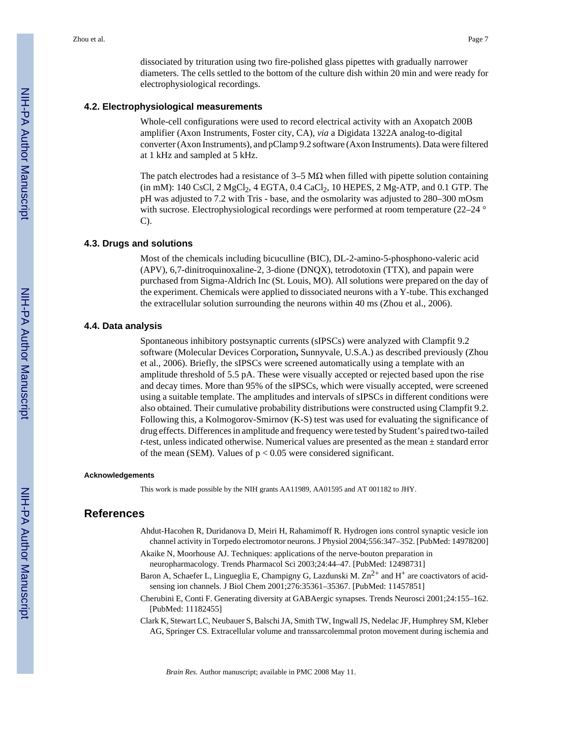dissociated by trituration using two fire-polished glass pipettes with gradually narrower diameters. The cells settled to the bottom of the culture dish within 20 min and were ready for electrophysiological recordings.

#### **4.2. Electrophysiological measurements**

Whole-cell configurations were used to record electrical activity with an Axopatch 200B amplifier (Axon Instruments, Foster city, CA), *via* a Digidata 1322A analog-to-digital converter (Axon Instruments), and pClamp 9.2 software (Axon Instruments). Data were filtered at 1 kHz and sampled at 5 kHz.

The patch electrodes had a resistance of  $3-5 \text{ M}\Omega$  when filled with pipette solution containing  $(iin mM)$ : 140 CsCl, 2 MgCl<sub>2</sub>, 4 EGTA, 0.4 CaCl<sub>2</sub>, 10 HEPES, 2 Mg-ATP, and 0.1 GTP. The pH was adjusted to 7.2 with Tris - base, and the osmolarity was adjusted to 280–300 mOsm with sucrose. Electrophysiological recordings were performed at room temperature (22–24 ° C).

#### **4.3. Drugs and solutions**

Most of the chemicals including bicuculline (BIC), DL-2-amino-5-phosphono-valeric acid (APV), 6,7-dinitroquinoxaline-2, 3-dione (DNQX), tetrodotoxin (TTX), and papain were purchased from Sigma-Aldrich Inc (St. Louis, MO). All solutions were prepared on the day of the experiment. Chemicals were applied to dissociated neurons with a Y-tube. This exchanged the extracellular solution surrounding the neurons within 40 ms (Zhou et al., 2006).

#### **4.4. Data analysis**

Spontaneous inhibitory postsynaptic currents (sIPSCs) were analyzed with Clampfit 9.2 software (Molecular Devices Corporation**,** Sunnyvale, U.S.A.) as described previously (Zhou et al., 2006). Briefly, the sIPSCs were screened automatically using a template with an amplitude threshold of 5.5 pA. These were visually accepted or rejected based upon the rise and decay times. More than 95% of the sIPSCs, which were visually accepted, were screened using a suitable template. The amplitudes and intervals of sIPSCs in different conditions were also obtained. Their cumulative probability distributions were constructed using Clampfit 9.2. Following this, a Kolmogorov-Smirnov (K-S) test was used for evaluating the significance of drug effects. Differences in amplitude and frequency were tested by Student's paired two-tailed *t*-test, unless indicated otherwise. Numerical values are presented as the mean ± standard error of the mean (SEM). Values of  $p < 0.05$  were considered significant.

#### **Acknowledgements**

This work is made possible by the NIH grants AA11989, AA01595 and AT 001182 to JHY.

#### **References**

- Ahdut-Hacohen R, Duridanova D, Meiri H, Rahamimoff R. Hydrogen ions control synaptic vesicle ion channel activity in Torpedo electromotor neurons. J Physiol 2004;556:347–352. [PubMed: 14978200]
- Akaike N, Moorhouse AJ. Techniques: applications of the nerve-bouton preparation in neuropharmacology. Trends Pharmacol Sci 2003;24:44–47. [PubMed: 12498731]
- Baron A, Schaefer L, Lingueglia E, Champigny G, Lazdunski M.  $\text{Zn}^{2+}$  and H<sup>+</sup> are coactivators of acidsensing ion channels. J Biol Chem 2001;276:35361–35367. [PubMed: 11457851]
- Cherubini E, Conti F. Generating diversity at GABAergic synapses. Trends Neurosci 2001;24:155–162. [PubMed: 11182455]
- Clark K, Stewart LC, Neubauer S, Balschi JA, Smith TW, Ingwall JS, Nedelac JF, Humphrey SM, Kleber AG, Springer CS. Extracellular volume and transsarcolemmal proton movement during ischemia and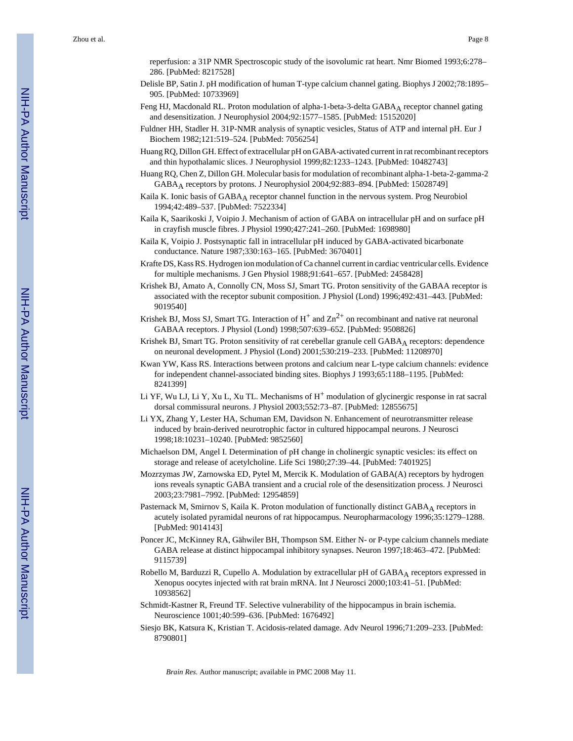reperfusion: a 31P NMR Spectroscopic study of the isovolumic rat heart. Nmr Biomed 1993;6:278– 286. [PubMed: 8217528]

- Delisle BP, Satin J. pH modification of human T-type calcium channel gating. Biophys J 2002;78:1895– 905. [PubMed: 10733969]
- Feng HJ, Macdonald RL. Proton modulation of alpha-1-beta-3-delta GABAA receptor channel gating and desensitization. J Neurophysiol 2004;92:1577–1585. [PubMed: 15152020]
- Fuldner HH, Stadler H. 31P-NMR analysis of synaptic vesicles, Status of ATP and internal pH. Eur J Biochem 1982;121:519–524. [PubMed: 7056254]
- Huang RQ, Dillon GH. Effect of extracellular pH on GABA-activated current in rat recombinant receptors and thin hypothalamic slices. J Neurophysiol 1999;82:1233–1243. [PubMed: 10482743]
- Huang RQ, Chen Z, Dillon GH. Molecular basis for modulation of recombinant alpha-1-beta-2-gamma-2 GABAA receptors by protons. J Neurophysiol 2004;92:883–894. [PubMed: 15028749]
- Kaila K. Ionic basis of GABA<sub>A</sub> receptor channel function in the nervous system. Prog Neurobiol 1994;42:489–537. [PubMed: 7522334]
- Kaila K, Saarikoski J, Voipio J. Mechanism of action of GABA on intracellular pH and on surface pH in crayfish muscle fibres. J Physiol 1990;427:241–260. [PubMed: 1698980]
- Kaila K, Voipio J. Postsynaptic fall in intracellular pH induced by GABA-activated bicarbonate conductance. Nature 1987;330:163–165. [PubMed: 3670401]
- Krafte DS, Kass RS. Hydrogen ion modulation of Ca channel current in cardiac ventricular cells. Evidence for multiple mechanisms. J Gen Physiol 1988;91:641–657. [PubMed: 2458428]
- Krishek BJ, Amato A, Connolly CN, Moss SJ, Smart TG. Proton sensitivity of the GABAA receptor is associated with the receptor subunit composition. J Physiol (Lond) 1996;492:431–443. [PubMed: 9019540]
- Krishek BJ, Moss SJ, Smart TG. Interaction of  $H^+$  and  $Zn^{2+}$  on recombinant and native rat neuronal GABAA receptors. J Physiol (Lond) 1998;507:639–652. [PubMed: 9508826]
- Krishek BJ, Smart TG. Proton sensitivity of rat cerebellar granule cell GABAA receptors: dependence on neuronal development. J Physiol (Lond) 2001;530:219–233. [PubMed: 11208970]
- Kwan YW, Kass RS. Interactions between protons and calcium near L-type calcium channels: evidence for independent channel-associated binding sites. Biophys J 1993;65:1188–1195. [PubMed: 8241399]
- Li YF, Wu LJ, Li Y, Xu L, Xu TL. Mechanisms of  $H^+$  modulation of glycinergic response in rat sacral dorsal commissural neurons. J Physiol 2003;552:73–87. [PubMed: 12855675]
- Li YX, Zhang Y, Lester HA, Schuman EM, Davidson N. Enhancement of neurotransmitter release induced by brain-derived neurotrophic factor in cultured hippocampal neurons. J Neurosci 1998;18:10231–10240. [PubMed: 9852560]
- Michaelson DM, Angel I. Determination of pH change in cholinergic synaptic vesicles: its effect on storage and release of acetylcholine. Life Sci 1980;27:39–44. [PubMed: 7401925]
- Mozrzymas JW, Zarnowska ED, Pytel M, Mercik K. Modulation of GABA(A) receptors by hydrogen ions reveals synaptic GABA transient and a crucial role of the desensitization process. J Neurosci 2003;23:7981–7992. [PubMed: 12954859]
- Pasternack M, Smirnov S, Kaila K. Proton modulation of functionally distinct GABA<sub>A</sub> receptors in acutely isolated pyramidal neurons of rat hippocampus. Neuropharmacology 1996;35:1279–1288. [PubMed: 9014143]
- Poncer JC, McKinney RA, Gähwiler BH, Thompson SM. Either N- or P-type calcium channels mediate GABA release at distinct hippocampal inhibitory synapses. Neuron 1997;18:463–472. [PubMed: 9115739]
- Robello M, Barduzzi R, Cupello A. Modulation by extracellular pH of GABA<sub>A</sub> receptors expressed in Xenopus oocytes injected with rat brain mRNA. Int J Neurosci 2000;103:41–51. [PubMed: 10938562]
- Schmidt-Kastner R, Freund TF. Selective vulnerability of the hippocampus in brain ischemia. Neuroscience 1001;40:599–636. [PubMed: 1676492]
- Siesjo BK, Katsura K, Kristian T. Acidosis-related damage. Adv Neurol 1996;71:209–233. [PubMed: 8790801]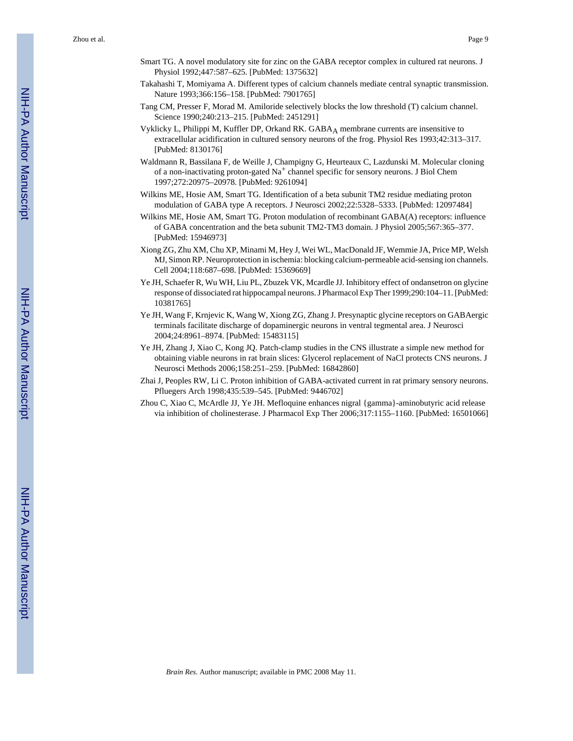- Smart TG. A novel modulatory site for zinc on the GABA receptor complex in cultured rat neurons. J Physiol 1992;447:587–625. [PubMed: 1375632]
- Takahashi T, Momiyama A. Different types of calcium channels mediate central synaptic transmission. Nature 1993;366:156–158. [PubMed: 7901765]
- Tang CM, Presser F, Morad M. Amiloride selectively blocks the low threshold (T) calcium channel. Science 1990;240:213–215. [PubMed: 2451291]
- Vyklicky L, Philippi M, Kuffler DP, Orkand RK. GABA<sub>A</sub> membrane currents are insensitive to extracellular acidification in cultured sensory neurons of the frog. Physiol Res 1993;42:313–317. [PubMed: 8130176]
- Waldmann R, Bassilana F, de Weille J, Champigny G, Heurteaux C, Lazdunski M. Molecular cloning of a non-inactivating proton-gated  $Na<sup>+</sup>$  channel specific for sensory neurons. J Biol Chem 1997;272:20975–20978. [PubMed: 9261094]
- Wilkins ME, Hosie AM, Smart TG. Identification of a beta subunit TM2 residue mediating proton modulation of GABA type A receptors. J Neurosci 2002;22:5328–5333. [PubMed: 12097484]
- Wilkins ME, Hosie AM, Smart TG. Proton modulation of recombinant GABA(A) receptors: influence of GABA concentration and the beta subunit TM2-TM3 domain. J Physiol 2005;567:365–377. [PubMed: 15946973]
- Xiong ZG, Zhu XM, Chu XP, Minami M, Hey J, Wei WL, MacDonald JF, Wemmie JA, Price MP, Welsh MJ, Simon RP. Neuroprotection in ischemia: blocking calcium-permeable acid-sensing ion channels. Cell 2004;118:687–698. [PubMed: 15369669]
- Ye JH, Schaefer R, Wu WH, Liu PL, Zbuzek VK, Mcardle JJ. Inhibitory effect of ondansetron on glycine response of dissociated rat hippocampal neurons. J Pharmacol Exp Ther 1999;290:104–11. [PubMed: 10381765]
- Ye JH, Wang F, Krnjevic K, Wang W, Xiong ZG, Zhang J. Presynaptic glycine receptors on GABAergic terminals facilitate discharge of dopaminergic neurons in ventral tegmental area. J Neurosci 2004;24:8961–8974. [PubMed: 15483115]
- Ye JH, Zhang J, Xiao C, Kong JQ. Patch-clamp studies in the CNS illustrate a simple new method for obtaining viable neurons in rat brain slices: Glycerol replacement of NaCl protects CNS neurons. J Neurosci Methods 2006;158:251–259. [PubMed: 16842860]
- Zhai J, Peoples RW, Li C. Proton inhibition of GABA-activated current in rat primary sensory neurons. Pfluegers Arch 1998;435:539–545. [PubMed: 9446702]
- Zhou C, Xiao C, McArdle JJ, Ye JH. Mefloquine enhances nigral {gamma}-aminobutyric acid release via inhibition of cholinesterase. J Pharmacol Exp Ther 2006;317:1155–1160. [PubMed: 16501066]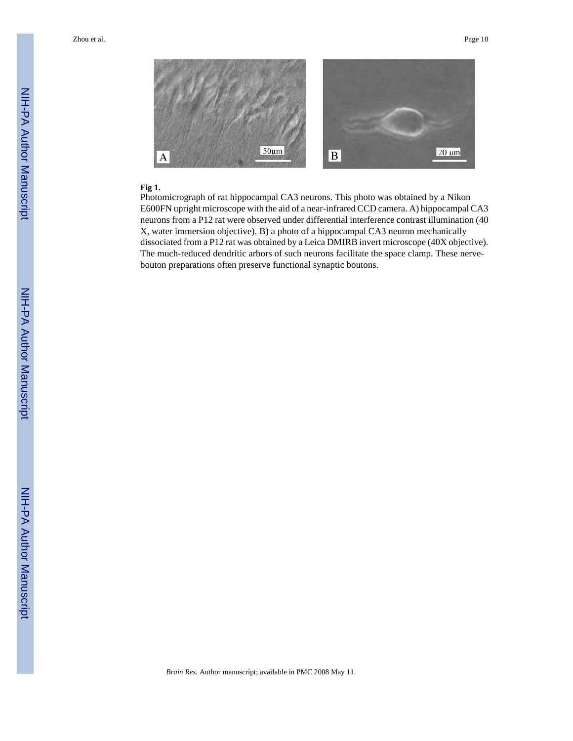

#### **Fig 1.**

Photomicrograph of rat hippocampal CA3 neurons. This photo was obtained by a Nikon E600FN upright microscope with the aid of a near-infrared CCD camera. A) hippocampal CA3 neurons from a P12 rat were observed under differential interference contrast illumination (40 X, water immersion objective). B) a photo of a hippocampal CA3 neuron mechanically dissociated from a P12 rat was obtained by a Leica DMIRB invert microscope (40X objective). The much-reduced dendritic arbors of such neurons facilitate the space clamp. These nervebouton preparations often preserve functional synaptic boutons.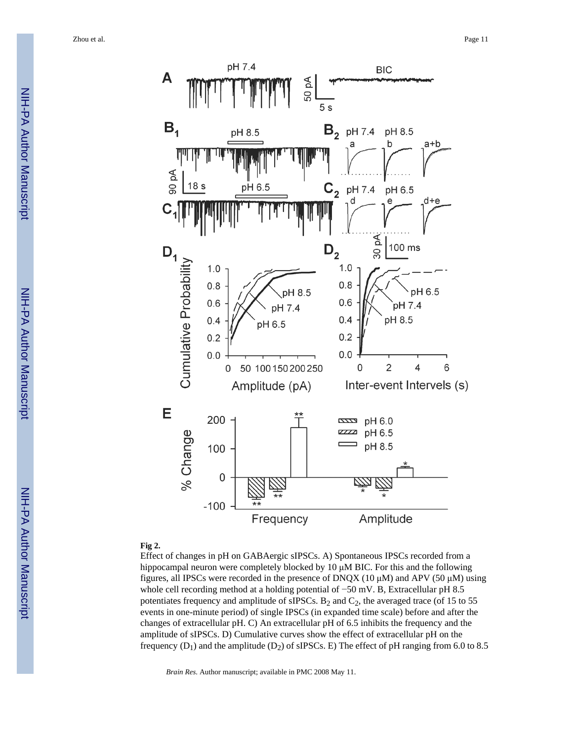

#### **Fig 2.**

Effect of changes in pH on GABAergic sIPSCs. A) Spontaneous IPSCs recorded from a hippocampal neuron were completely blocked by 10 μM BIC. For this and the following figures, all IPSCs were recorded in the presence of DNQX (10  $\mu$ M) and APV (50  $\mu$ M) using whole cell recording method at a holding potential of −50 mV. B, Extracellular pH 8.5 potentiates frequency and amplitude of sIPSCs.  $B_2$  and  $C_2$ , the averaged trace (of 15 to 55 events in one-minute period) of single IPSCs (in expanded time scale) before and after the changes of extracellular pH. C) An extracellular pH of 6.5 inhibits the frequency and the amplitude of sIPSCs. D) Cumulative curves show the effect of extracellular pH on the frequency  $(D_1)$  and the amplitude  $(D_2)$  of sIPSCs. E) The effect of pH ranging from 6.0 to 8.5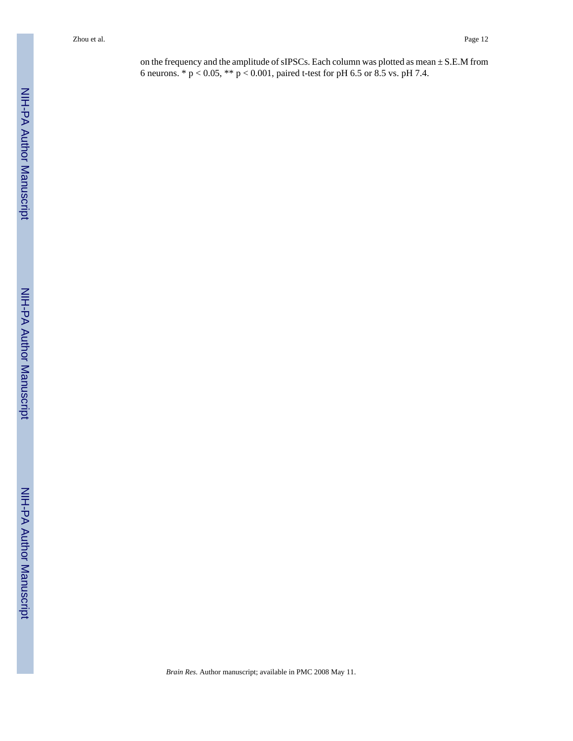on the frequency and the amplitude of sIPSCs. Each column was plotted as mean ± S.E.M from 6 neurons. \* p < 0.05, \*\* p < 0.001, paired t-test for pH 6.5 or 8.5 vs. pH 7.4.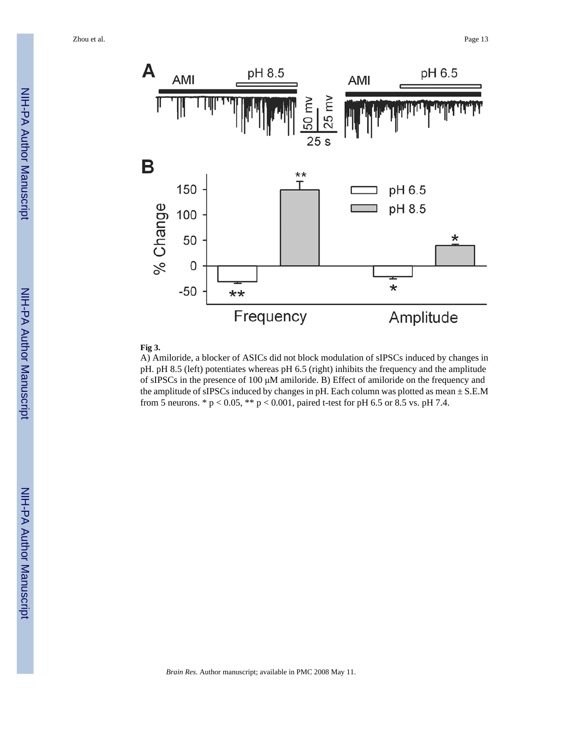

#### **Fig 3.**

A) Amiloride, a blocker of ASICs did not block modulation of sIPSCs induced by changes in pH. pH 8.5 (left) potentiates whereas pH 6.5 (right) inhibits the frequency and the amplitude of sIPSCs in the presence of 100 μM amiloride. B) Effect of amiloride on the frequency and the amplitude of sIPSCs induced by changes in pH. Each column was plotted as mean  $\pm$  S.E.M from 5 neurons. \*  $p < 0.05$ , \*\*  $p < 0.001$ , paired t-test for pH 6.5 or 8.5 vs. pH 7.4.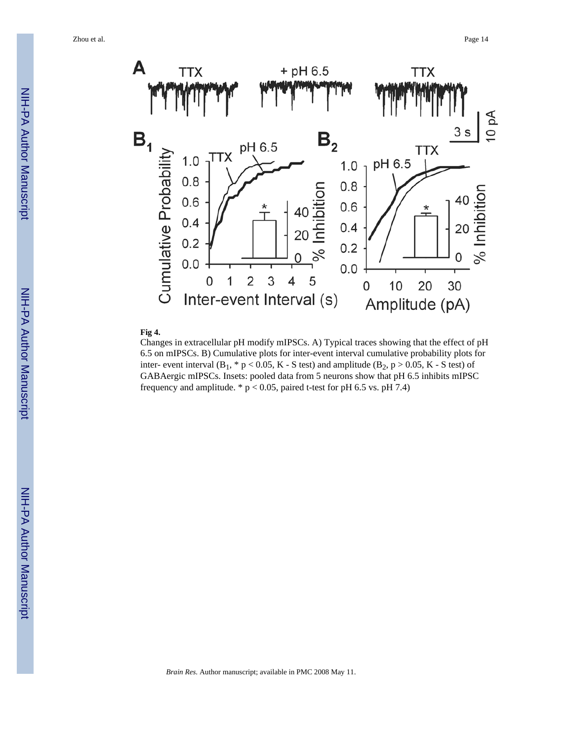

#### **Fig 4.**

Changes in extracellular pH modify mIPSCs. A) Typical traces showing that the effect of pH 6.5 on mIPSCs. B) Cumulative plots for inter-event interval cumulative probability plots for inter- event interval  $(B_1, * p < 0.05, K - S$  test) and amplitude  $(B_2, p > 0.05, K - S$  test) of GABAergic mIPSCs. Insets: pooled data from 5 neurons show that pH 6.5 inhibits mIPSC frequency and amplitude.  $* p < 0.05$ , paired t-test for pH 6.5 vs. pH 7.4)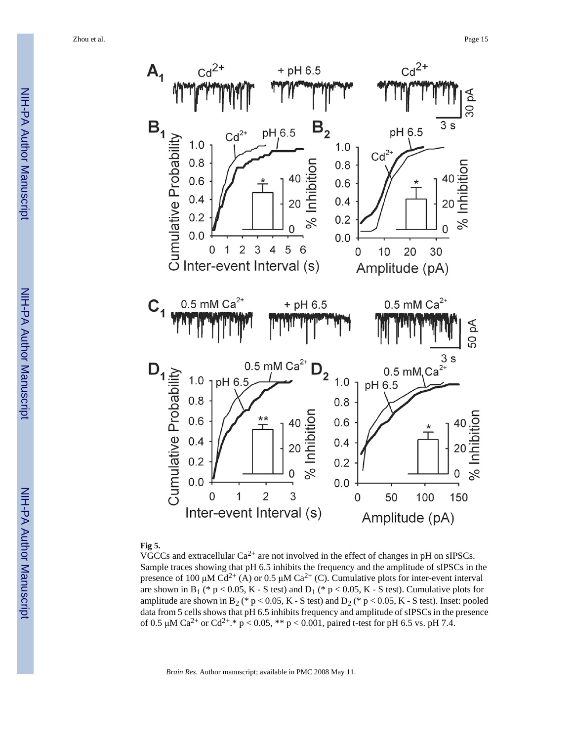



#### **Fig 5.**

VGCCs and extracellular  $Ca^{2+}$  are not involved in the effect of changes in pH on sIPSCs. Sample traces showing that pH 6.5 inhibits the frequency and the amplitude of sIPSCs in the presence of 100 μM  $Cd^{2+}(A)$  or 0.5 μM  $Ca^{2+}(C)$ . Cumulative plots for inter-event interval are shown in B<sub>1</sub> (\* p < 0.05, K - S test) and D<sub>1</sub> (\* p < 0.05, K - S test). Cumulative plots for amplitude are shown in B<sub>2</sub> (\* p < 0.05, K - S test) and D<sub>2</sub> (\* p < 0.05, K - S test). Inset: pooled data from 5 cells shows that pH 6.5 inhibits frequency and amplitude of sIPSCs in the presence of 0.5  $\mu$ M Ca<sup>2+</sup> or Cd<sup>2+</sup>.\* p < 0.05, \*\* p < 0.001, paired t-test for pH 6.5 vs. pH 7.4.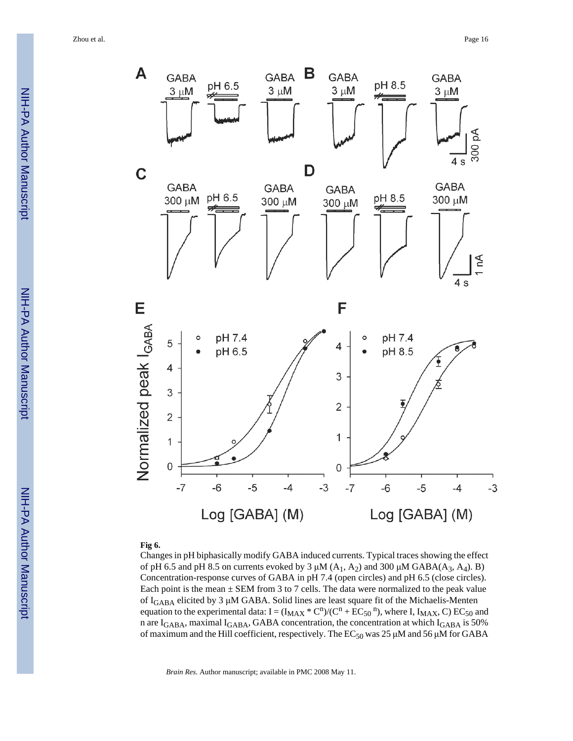

#### **Fig 6.**

Changes in pH biphasically modify GABA induced currents. Typical traces showing the effect of pH 6.5 and pH 8.5 on currents evoked by 3  $\mu$ M (A<sub>1</sub>, A<sub>2</sub>) and 300  $\mu$ M GABA(A<sub>3</sub>, A<sub>4</sub>). B) Concentration-response curves of GABA in pH 7.4 (open circles) and pH 6.5 (close circles). Each point is the mean  $\pm$  SEM from 3 to 7 cells. The data were normalized to the peak value of IGABA elicited by 3 μM GABA. Solid lines are least square fit of the Michaelis-Menten equation to the experimental data:  $I = (I_{MAX} * C^n) / (C^n + EC_{50}^n)$ , where I,  $I_{MAX}$ , C) EC<sub>50</sub> and n are I<sub>GABA</sub>, maximal I<sub>GABA</sub>, GABA concentration, the concentration at which I<sub>GABA</sub> is 50% of maximum and the Hill coefficient, respectively. The  $EC_{50}$  was 25 μM and 56 μM for GABA